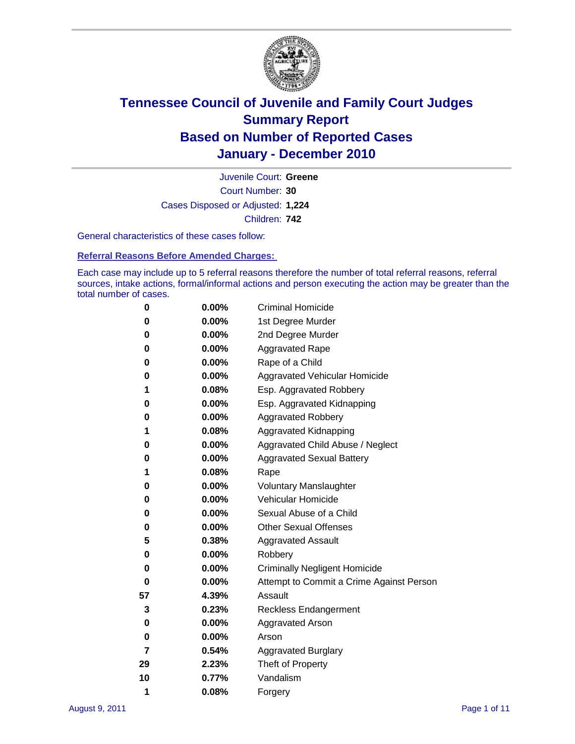

Court Number: **30** Juvenile Court: **Greene** Cases Disposed or Adjusted: **1,224** Children: **742**

General characteristics of these cases follow:

**Referral Reasons Before Amended Charges:** 

Each case may include up to 5 referral reasons therefore the number of total referral reasons, referral sources, intake actions, formal/informal actions and person executing the action may be greater than the total number of cases.

| 0  | 0.00% | <b>Criminal Homicide</b>                 |  |  |
|----|-------|------------------------------------------|--|--|
| 0  | 0.00% | 1st Degree Murder                        |  |  |
| 0  | 0.00% | 2nd Degree Murder                        |  |  |
| 0  | 0.00% | <b>Aggravated Rape</b>                   |  |  |
| 0  | 0.00% | Rape of a Child                          |  |  |
| 0  | 0.00% | Aggravated Vehicular Homicide            |  |  |
| 1  | 0.08% | Esp. Aggravated Robbery                  |  |  |
| 0  | 0.00% | Esp. Aggravated Kidnapping               |  |  |
| 0  | 0.00% | <b>Aggravated Robbery</b>                |  |  |
| 1  | 0.08% | Aggravated Kidnapping                    |  |  |
| 0  | 0.00% | Aggravated Child Abuse / Neglect         |  |  |
| 0  | 0.00% | <b>Aggravated Sexual Battery</b>         |  |  |
| 1  | 0.08% | Rape                                     |  |  |
| 0  | 0.00% | <b>Voluntary Manslaughter</b>            |  |  |
| 0  | 0.00% | Vehicular Homicide                       |  |  |
| 0  | 0.00% | Sexual Abuse of a Child                  |  |  |
| 0  | 0.00% | <b>Other Sexual Offenses</b>             |  |  |
| 5  | 0.38% | <b>Aggravated Assault</b>                |  |  |
| 0  | 0.00% | Robbery                                  |  |  |
| 0  | 0.00% | <b>Criminally Negligent Homicide</b>     |  |  |
| 0  | 0.00% | Attempt to Commit a Crime Against Person |  |  |
| 57 | 4.39% | Assault                                  |  |  |
| 3  | 0.23% | <b>Reckless Endangerment</b>             |  |  |
| 0  | 0.00% | <b>Aggravated Arson</b>                  |  |  |
| 0  | 0.00% | Arson                                    |  |  |
| 7  | 0.54% | <b>Aggravated Burglary</b>               |  |  |
| 29 | 2.23% | Theft of Property                        |  |  |
| 10 | 0.77% | Vandalism                                |  |  |
| 1  | 0.08% | Forgery                                  |  |  |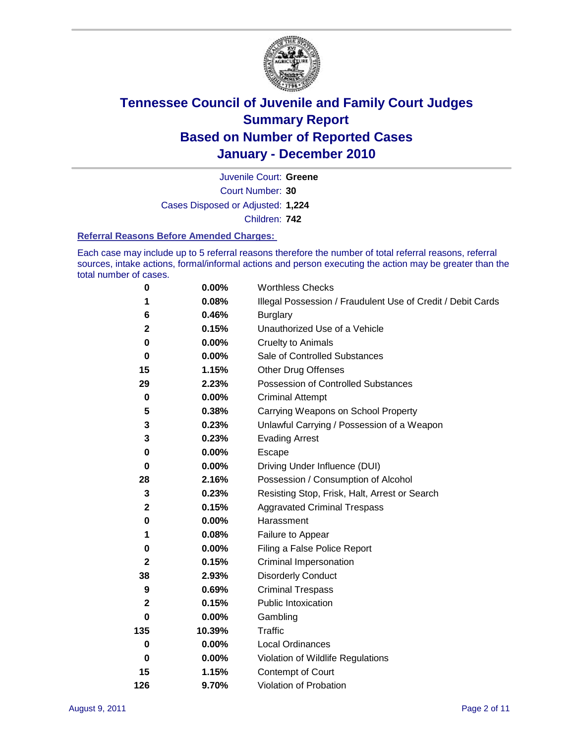

Court Number: **30** Juvenile Court: **Greene** Cases Disposed or Adjusted: **1,224** Children: **742**

### **Referral Reasons Before Amended Charges:**

Each case may include up to 5 referral reasons therefore the number of total referral reasons, referral sources, intake actions, formal/informal actions and person executing the action may be greater than the total number of cases.

| $\pmb{0}$    | 0.00%    | <b>Worthless Checks</b>                                     |  |  |
|--------------|----------|-------------------------------------------------------------|--|--|
| 1            | 0.08%    | Illegal Possession / Fraudulent Use of Credit / Debit Cards |  |  |
| 6            | 0.46%    | <b>Burglary</b>                                             |  |  |
| $\mathbf{2}$ | 0.15%    | Unauthorized Use of a Vehicle                               |  |  |
| 0            | $0.00\%$ | <b>Cruelty to Animals</b>                                   |  |  |
| $\bf{0}$     | $0.00\%$ | Sale of Controlled Substances                               |  |  |
| 15           | 1.15%    | <b>Other Drug Offenses</b>                                  |  |  |
| 29           | 2.23%    | Possession of Controlled Substances                         |  |  |
| $\mathbf 0$  | $0.00\%$ | <b>Criminal Attempt</b>                                     |  |  |
| 5            | 0.38%    | Carrying Weapons on School Property                         |  |  |
| 3            | 0.23%    | Unlawful Carrying / Possession of a Weapon                  |  |  |
| 3            | 0.23%    | <b>Evading Arrest</b>                                       |  |  |
| 0            | 0.00%    | Escape                                                      |  |  |
| 0            | $0.00\%$ | Driving Under Influence (DUI)                               |  |  |
| 28           | 2.16%    | Possession / Consumption of Alcohol                         |  |  |
| 3            | 0.23%    | Resisting Stop, Frisk, Halt, Arrest or Search               |  |  |
| $\mathbf{2}$ | 0.15%    | <b>Aggravated Criminal Trespass</b>                         |  |  |
| $\pmb{0}$    | $0.00\%$ | Harassment                                                  |  |  |
| 1            | 0.08%    | Failure to Appear                                           |  |  |
| 0            | $0.00\%$ | Filing a False Police Report                                |  |  |
| $\mathbf{2}$ | 0.15%    | Criminal Impersonation                                      |  |  |
| 38           | 2.93%    | <b>Disorderly Conduct</b>                                   |  |  |
| 9            | 0.69%    | <b>Criminal Trespass</b>                                    |  |  |
| 2            | 0.15%    | <b>Public Intoxication</b>                                  |  |  |
| 0            | 0.00%    | Gambling                                                    |  |  |
| 135          | 10.39%   | <b>Traffic</b>                                              |  |  |
| 0            | $0.00\%$ | <b>Local Ordinances</b>                                     |  |  |
| $\mathbf 0$  | 0.00%    | Violation of Wildlife Regulations                           |  |  |
| 15           | 1.15%    | Contempt of Court                                           |  |  |
| 126          | 9.70%    | Violation of Probation                                      |  |  |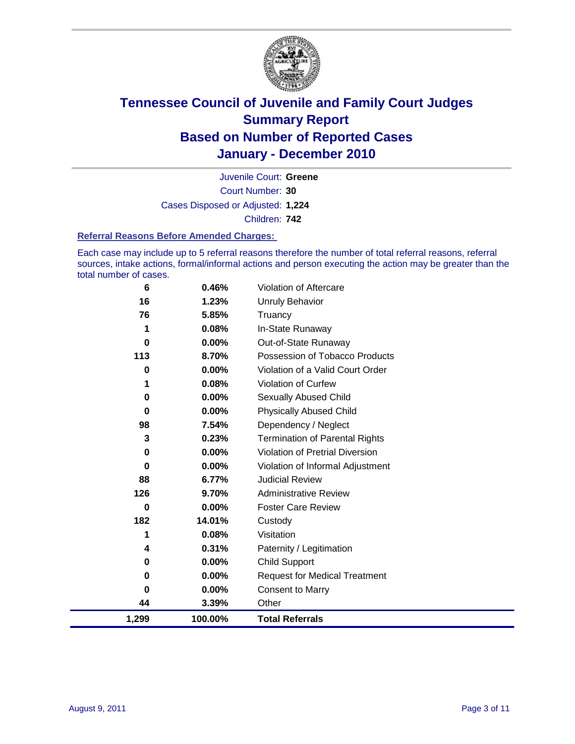

Court Number: **30** Juvenile Court: **Greene** Cases Disposed or Adjusted: **1,224** Children: **742**

#### **Referral Reasons Before Amended Charges:**

Each case may include up to 5 referral reasons therefore the number of total referral reasons, referral sources, intake actions, formal/informal actions and person executing the action may be greater than the total number of cases.

| 6           | 0.46%    | Violation of Aftercare                 |
|-------------|----------|----------------------------------------|
| 16          | 1.23%    | <b>Unruly Behavior</b>                 |
| 76          | 5.85%    | Truancy                                |
| 1           | 0.08%    | In-State Runaway                       |
| 0           | $0.00\%$ | Out-of-State Runaway                   |
| 113         | 8.70%    | Possession of Tobacco Products         |
| 0           | $0.00\%$ | Violation of a Valid Court Order       |
| 1           | 0.08%    | Violation of Curfew                    |
| 0           | $0.00\%$ | Sexually Abused Child                  |
| $\mathbf 0$ | 0.00%    | <b>Physically Abused Child</b>         |
| 98          | 7.54%    | Dependency / Neglect                   |
| 3           | 0.23%    | <b>Termination of Parental Rights</b>  |
| 0           | 0.00%    | <b>Violation of Pretrial Diversion</b> |
| 0           | 0.00%    | Violation of Informal Adjustment       |
| 88          | 6.77%    | <b>Judicial Review</b>                 |
| 126         | 9.70%    | <b>Administrative Review</b>           |
| 0           | 0.00%    | <b>Foster Care Review</b>              |
| 182         | 14.01%   | Custody                                |
| 1           | 0.08%    | Visitation                             |
| 4           | 0.31%    | Paternity / Legitimation               |
| 0           | 0.00%    | <b>Child Support</b>                   |
| $\pmb{0}$   | 0.00%    | <b>Request for Medical Treatment</b>   |
| 0           | $0.00\%$ | <b>Consent to Marry</b>                |
| 44          | 3.39%    | Other                                  |
| 1,299       | 100.00%  | <b>Total Referrals</b>                 |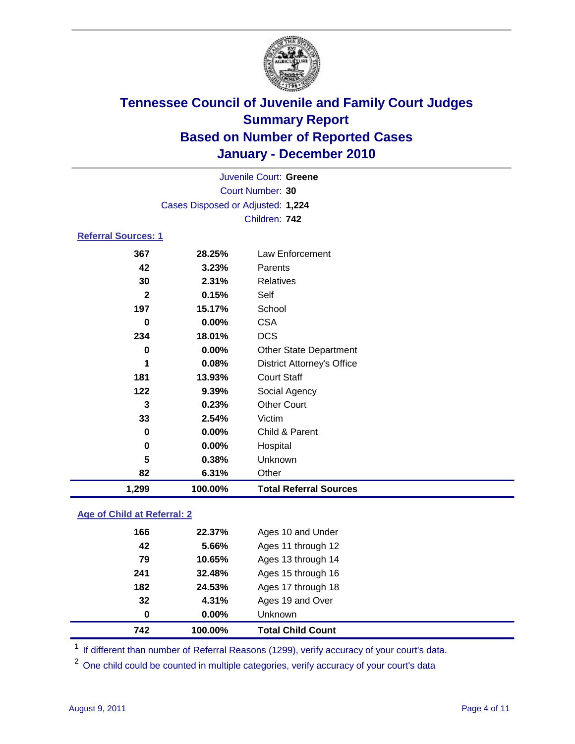

| 1,299                      | 100.00%                           | <b>Total Referral Sources</b>     |  |  |  |
|----------------------------|-----------------------------------|-----------------------------------|--|--|--|
| 82                         | 6.31%                             | Other                             |  |  |  |
| 5                          | 0.38%                             | Unknown                           |  |  |  |
| 0                          | 0.00%                             | Hospital                          |  |  |  |
| 0                          | 0.00%                             | Child & Parent                    |  |  |  |
| 33                         | 2.54%                             | Victim                            |  |  |  |
| 3                          | 0.23%                             | <b>Other Court</b>                |  |  |  |
| 122                        | 9.39%                             | Social Agency                     |  |  |  |
| 181                        | 13.93%                            | <b>Court Staff</b>                |  |  |  |
| 1                          | 0.08%                             | <b>District Attorney's Office</b> |  |  |  |
| 0                          | $0.00\%$                          | Other State Department            |  |  |  |
| 234                        | 18.01%                            | <b>DCS</b>                        |  |  |  |
| 0                          | 0.00%                             | <b>CSA</b>                        |  |  |  |
| 197                        | 15.17%                            | School                            |  |  |  |
| $\mathbf{2}$               | 0.15%                             | Self                              |  |  |  |
| 30                         | 2.31%                             | <b>Relatives</b>                  |  |  |  |
| 42                         | 3.23%                             | Parents                           |  |  |  |
| 367                        | 28.25%                            | Law Enforcement                   |  |  |  |
| <b>Referral Sources: 1</b> |                                   |                                   |  |  |  |
|                            | Children: 742                     |                                   |  |  |  |
|                            | Cases Disposed or Adjusted: 1,224 |                                   |  |  |  |
|                            | Court Number: 30                  |                                   |  |  |  |
|                            |                                   |                                   |  |  |  |
|                            |                                   | Juvenile Court: Greene            |  |  |  |

### **Age of Child at Referral: 2**

| 0   | $0.00\%$ | <b>Unknown</b>     |  |
|-----|----------|--------------------|--|
|     |          |                    |  |
| 32  | 4.31%    | Ages 19 and Over   |  |
| 182 | 24.53%   | Ages 17 through 18 |  |
| 241 | 32.48%   | Ages 15 through 16 |  |
| 79  | 10.65%   | Ages 13 through 14 |  |
| 42  | 5.66%    | Ages 11 through 12 |  |
| 166 | 22.37%   | Ages 10 and Under  |  |
|     |          |                    |  |

<sup>1</sup> If different than number of Referral Reasons (1299), verify accuracy of your court's data.

<sup>2</sup> One child could be counted in multiple categories, verify accuracy of your court's data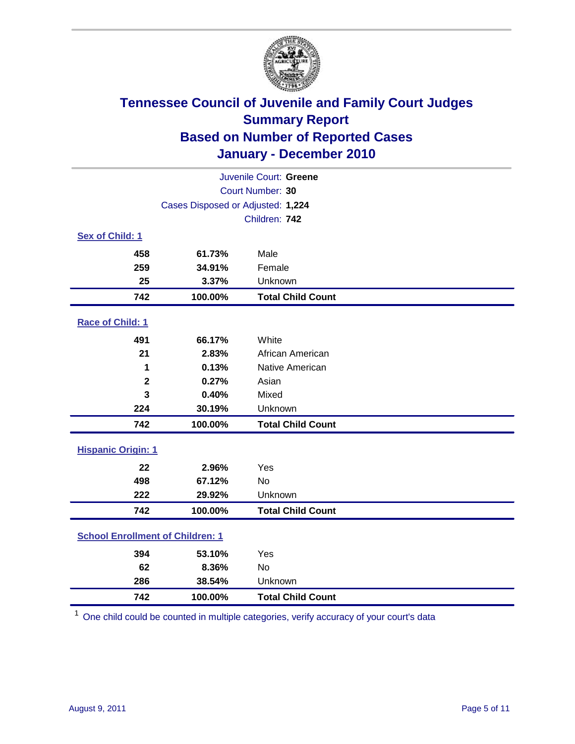

| Juvenile Court: Greene                  |                                   |                          |  |  |
|-----------------------------------------|-----------------------------------|--------------------------|--|--|
| Court Number: 30                        |                                   |                          |  |  |
|                                         | Cases Disposed or Adjusted: 1,224 |                          |  |  |
|                                         |                                   | Children: 742            |  |  |
| Sex of Child: 1                         |                                   |                          |  |  |
| 458                                     | 61.73%                            | Male                     |  |  |
| 259                                     | 34.91%                            | Female                   |  |  |
| 25                                      | 3.37%                             | Unknown                  |  |  |
| 742                                     | 100.00%                           | <b>Total Child Count</b> |  |  |
| Race of Child: 1                        |                                   |                          |  |  |
| 491                                     | 66.17%                            | White                    |  |  |
| 21                                      | 2.83%                             | African American         |  |  |
| 1                                       | 0.13%                             | Native American          |  |  |
| $\mathbf 2$                             | 0.27%                             | Asian                    |  |  |
| 3                                       | 0.40%                             | Mixed                    |  |  |
| 224                                     | 30.19%                            | Unknown                  |  |  |
| 742                                     | 100.00%                           | <b>Total Child Count</b> |  |  |
| <b>Hispanic Origin: 1</b>               |                                   |                          |  |  |
| 22                                      | 2.96%                             | Yes                      |  |  |
| 498                                     | 67.12%                            | <b>No</b>                |  |  |
| 222                                     | 29.92%                            | Unknown                  |  |  |
| 742                                     | 100.00%                           | <b>Total Child Count</b> |  |  |
| <b>School Enrollment of Children: 1</b> |                                   |                          |  |  |
| 394                                     | 53.10%                            | Yes                      |  |  |
| 62                                      | 8.36%                             | No                       |  |  |
| 286                                     | 38.54%                            | Unknown                  |  |  |
| 742                                     | 100.00%                           | <b>Total Child Count</b> |  |  |

One child could be counted in multiple categories, verify accuracy of your court's data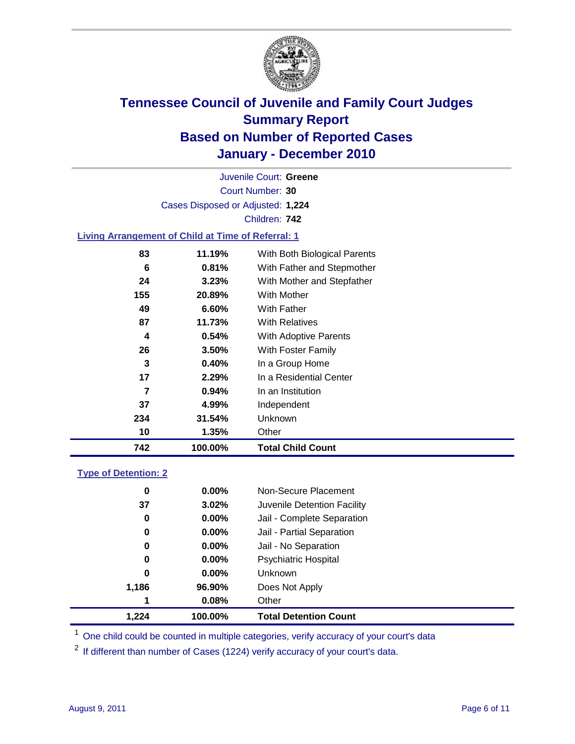

Court Number: **30** Juvenile Court: **Greene** Cases Disposed or Adjusted: **1,224** Children: **742**

### **Living Arrangement of Child at Time of Referral: 1**

| 742 | 100.00% | <b>Total Child Count</b>     |
|-----|---------|------------------------------|
| 10  | 1.35%   | Other                        |
| 234 | 31.54%  | <b>Unknown</b>               |
| 37  | 4.99%   | Independent                  |
| 7   | 0.94%   | In an Institution            |
| 17  | 2.29%   | In a Residential Center      |
| 3   | 0.40%   | In a Group Home              |
| 26  | 3.50%   | With Foster Family           |
| 4   | 0.54%   | With Adoptive Parents        |
| 87  | 11.73%  | <b>With Relatives</b>        |
| 49  | 6.60%   | With Father                  |
| 155 | 20.89%  | With Mother                  |
| 24  | 3.23%   | With Mother and Stepfather   |
| 6   | 0.81%   | With Father and Stepmother   |
| 83  | 11.19%  | With Both Biological Parents |
|     |         |                              |

#### **Type of Detention: 2**

| 1.224 | 100.00%  | <b>Total Detention Count</b> |  |
|-------|----------|------------------------------|--|
| 1     | 0.08%    | Other                        |  |
| 1,186 | 96.90%   | Does Not Apply               |  |
| 0     | $0.00\%$ | Unknown                      |  |
| 0     | 0.00%    | Psychiatric Hospital         |  |
| 0     | 0.00%    | Jail - No Separation         |  |
| 0     | $0.00\%$ | Jail - Partial Separation    |  |
| 0     | 0.00%    | Jail - Complete Separation   |  |
| 37    | 3.02%    | Juvenile Detention Facility  |  |
| 0     | $0.00\%$ | Non-Secure Placement         |  |
|       |          |                              |  |

<sup>1</sup> One child could be counted in multiple categories, verify accuracy of your court's data

<sup>2</sup> If different than number of Cases (1224) verify accuracy of your court's data.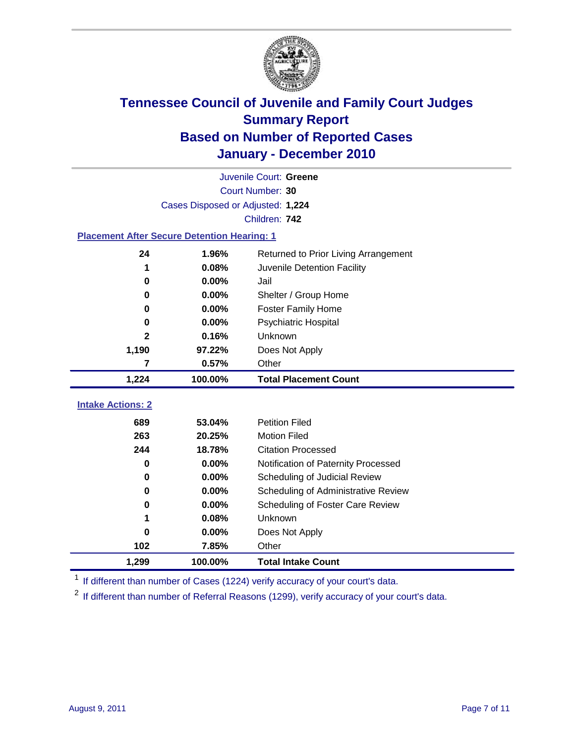

|                                                    | Juvenile Court: Greene            |                                      |  |  |  |
|----------------------------------------------------|-----------------------------------|--------------------------------------|--|--|--|
|                                                    | Court Number: 30                  |                                      |  |  |  |
|                                                    | Cases Disposed or Adjusted: 1,224 |                                      |  |  |  |
|                                                    |                                   | Children: 742                        |  |  |  |
| <b>Placement After Secure Detention Hearing: 1</b> |                                   |                                      |  |  |  |
| 24                                                 | 1.96%                             | Returned to Prior Living Arrangement |  |  |  |
| 1                                                  | 0.08%                             | Juvenile Detention Facility          |  |  |  |
| 0                                                  | 0.00%                             | Jail                                 |  |  |  |
| 0                                                  | 0.00%                             | Shelter / Group Home                 |  |  |  |
| 0                                                  | 0.00%                             | <b>Foster Family Home</b>            |  |  |  |
| 0                                                  | 0.00%                             | Psychiatric Hospital                 |  |  |  |
| 2                                                  | 0.16%                             | Unknown                              |  |  |  |
| 1,190                                              | 97.22%                            | Does Not Apply                       |  |  |  |
| 7                                                  | 0.57%                             | Other                                |  |  |  |
| 1,224                                              | 100.00%                           | <b>Total Placement Count</b>         |  |  |  |
| <b>Intake Actions: 2</b>                           |                                   |                                      |  |  |  |
|                                                    |                                   |                                      |  |  |  |
| 689                                                | 53.04%                            | <b>Petition Filed</b>                |  |  |  |
| 263                                                | 20.25%                            | <b>Motion Filed</b>                  |  |  |  |
| 244                                                | 18.78%                            | <b>Citation Processed</b>            |  |  |  |
| 0                                                  | 0.00%                             | Notification of Paternity Processed  |  |  |  |
| $\bf{0}$                                           | 0.00%                             | Scheduling of Judicial Review        |  |  |  |
| 0                                                  | 0.00%                             | Scheduling of Administrative Review  |  |  |  |
| 0                                                  | 0.00%                             | Scheduling of Foster Care Review     |  |  |  |
| 1                                                  | 0.08%                             | Unknown                              |  |  |  |
| 0                                                  | 0.00%                             | Does Not Apply                       |  |  |  |
| 102                                                | 7.85%                             | Other                                |  |  |  |
| 1,299                                              | 100.00%                           | <b>Total Intake Count</b>            |  |  |  |

<sup>1</sup> If different than number of Cases (1224) verify accuracy of your court's data.

<sup>2</sup> If different than number of Referral Reasons (1299), verify accuracy of your court's data.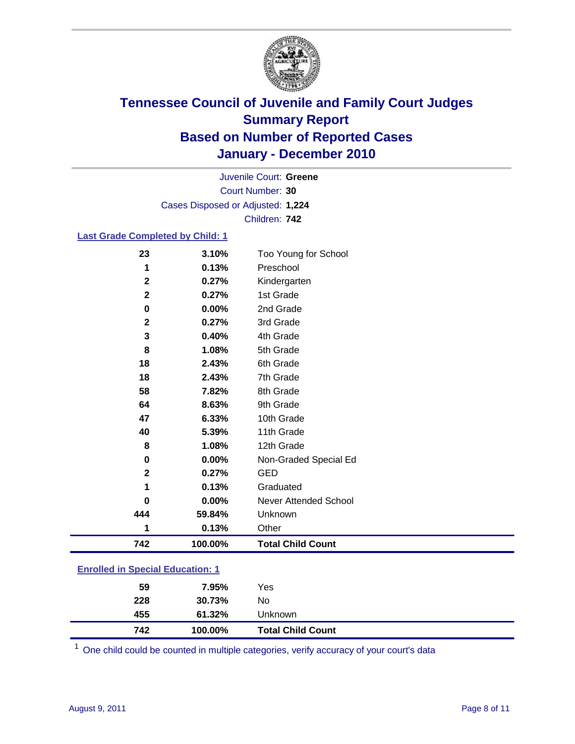

Court Number: **30** Juvenile Court: **Greene** Cases Disposed or Adjusted: **1,224** Children: **742**

### **Last Grade Completed by Child: 1**

| 23                                      | 3.10%   | Too Young for School         |
|-----------------------------------------|---------|------------------------------|
| 1                                       | 0.13%   | Preschool                    |
| $\mathbf 2$                             | 0.27%   | Kindergarten                 |
| $\mathbf{2}$                            | 0.27%   | 1st Grade                    |
| 0                                       | 0.00%   | 2nd Grade                    |
| 2                                       | 0.27%   | 3rd Grade                    |
| 3                                       | 0.40%   | 4th Grade                    |
| 8                                       | 1.08%   | 5th Grade                    |
| 18                                      | 2.43%   | 6th Grade                    |
| 18                                      | 2.43%   | 7th Grade                    |
| 58                                      | 7.82%   | 8th Grade                    |
| 64                                      | 8.63%   | 9th Grade                    |
| 47                                      | 6.33%   | 10th Grade                   |
| 40                                      | 5.39%   | 11th Grade                   |
| 8                                       | 1.08%   | 12th Grade                   |
| 0                                       | 0.00%   | Non-Graded Special Ed        |
| $\mathbf 2$                             | 0.27%   | <b>GED</b>                   |
| 1                                       | 0.13%   | Graduated                    |
| 0                                       | 0.00%   | <b>Never Attended School</b> |
| 444                                     | 59.84%  | Unknown                      |
| 1                                       | 0.13%   | Other                        |
| 742                                     | 100.00% | <b>Total Child Count</b>     |
| <b>Enrolled in Special Education: 1</b> |         |                              |

| -------------- |         |                          |  |
|----------------|---------|--------------------------|--|
| 59             | 7.95%   | Yes                      |  |
| 228            | 30.73%  | No                       |  |
| 455            | 61.32%  | <b>Unknown</b>           |  |
| 742            | 100.00% | <b>Total Child Count</b> |  |

One child could be counted in multiple categories, verify accuracy of your court's data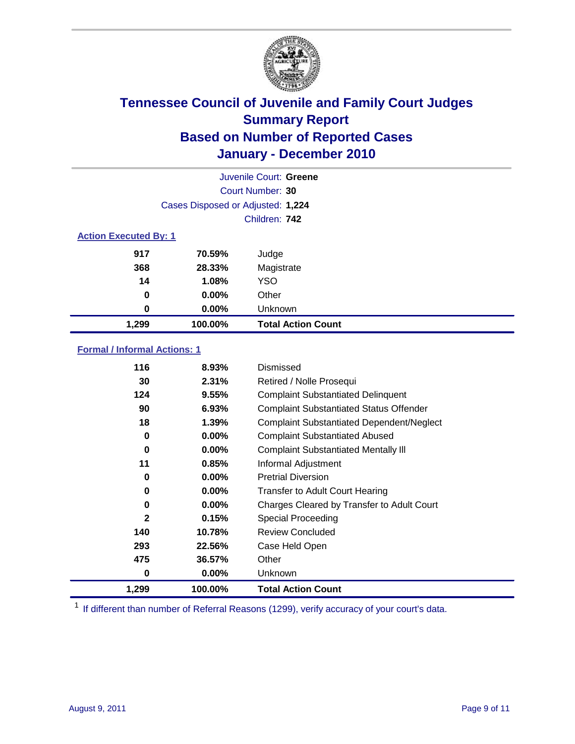

| Juvenile Court: Greene       |                                   |                           |  |  |
|------------------------------|-----------------------------------|---------------------------|--|--|
|                              | Court Number: 30                  |                           |  |  |
|                              | Cases Disposed or Adjusted: 1,224 |                           |  |  |
|                              | Children: 742                     |                           |  |  |
| <b>Action Executed By: 1</b> |                                   |                           |  |  |
| 917                          | 70.59%                            | Judge                     |  |  |
| 368                          | 28.33%                            | Magistrate                |  |  |
| 14                           | 1.08%                             | <b>YSO</b>                |  |  |
| 0                            | $0.00\%$                          | Other                     |  |  |
| 0                            | 0.00%                             | Unknown                   |  |  |
| 1,299                        | 100.00%                           | <b>Total Action Count</b> |  |  |

### **Formal / Informal Actions: 1**

| 0<br>1,299   | $0.00\%$<br>100.00% | <b>Unknown</b><br><b>Total Action Count</b>      |
|--------------|---------------------|--------------------------------------------------|
|              |                     |                                                  |
| 475          | 36.57%              | Other                                            |
| 293          | 22.56%              | Case Held Open                                   |
| 140          | 10.78%              | <b>Review Concluded</b>                          |
| $\mathbf{2}$ | 0.15%               | Special Proceeding                               |
| 0            | $0.00\%$            | Charges Cleared by Transfer to Adult Court       |
| 0            | $0.00\%$            | <b>Transfer to Adult Court Hearing</b>           |
| 0            | $0.00\%$            | <b>Pretrial Diversion</b>                        |
| 11           | 0.85%               | Informal Adjustment                              |
| 0            | $0.00\%$            | <b>Complaint Substantiated Mentally III</b>      |
| 0            | 0.00%               | <b>Complaint Substantiated Abused</b>            |
| 18           | 1.39%               | <b>Complaint Substantiated Dependent/Neglect</b> |
| 90           | 6.93%               | <b>Complaint Substantiated Status Offender</b>   |
| 124          | 9.55%               | <b>Complaint Substantiated Delinquent</b>        |
| 30           | 2.31%               | Retired / Nolle Prosequi                         |
| 116          | 8.93%               | Dismissed                                        |

<sup>1</sup> If different than number of Referral Reasons (1299), verify accuracy of your court's data.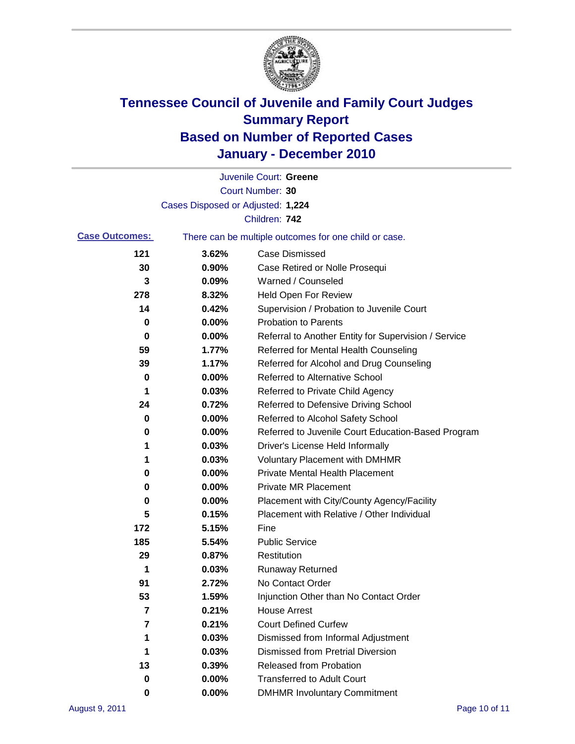

|                       |                                                       | Juvenile Court: Greene                               |  |  |
|-----------------------|-------------------------------------------------------|------------------------------------------------------|--|--|
|                       |                                                       | Court Number: 30                                     |  |  |
|                       | Cases Disposed or Adjusted: 1,224                     |                                                      |  |  |
|                       |                                                       | Children: 742                                        |  |  |
| <b>Case Outcomes:</b> | There can be multiple outcomes for one child or case. |                                                      |  |  |
| 121                   | 3.62%                                                 | <b>Case Dismissed</b>                                |  |  |
| 30                    | 0.90%                                                 | Case Retired or Nolle Prosequi                       |  |  |
| 3                     | 0.09%                                                 | Warned / Counseled                                   |  |  |
| 278                   | 8.32%                                                 | <b>Held Open For Review</b>                          |  |  |
| 14                    | 0.42%                                                 | Supervision / Probation to Juvenile Court            |  |  |
| 0                     | 0.00%                                                 | <b>Probation to Parents</b>                          |  |  |
| 0                     | 0.00%                                                 | Referral to Another Entity for Supervision / Service |  |  |
| 59                    | 1.77%                                                 | Referred for Mental Health Counseling                |  |  |
| 39                    | 1.17%                                                 | Referred for Alcohol and Drug Counseling             |  |  |
| 0                     | 0.00%                                                 | <b>Referred to Alternative School</b>                |  |  |
| 1                     | 0.03%                                                 | Referred to Private Child Agency                     |  |  |
| 24                    | 0.72%                                                 | Referred to Defensive Driving School                 |  |  |
| 0                     | 0.00%                                                 | Referred to Alcohol Safety School                    |  |  |
| 0                     | 0.00%                                                 | Referred to Juvenile Court Education-Based Program   |  |  |
| 1                     | 0.03%                                                 | Driver's License Held Informally                     |  |  |
| 1                     | 0.03%                                                 | <b>Voluntary Placement with DMHMR</b>                |  |  |
| 0                     | 0.00%                                                 | <b>Private Mental Health Placement</b>               |  |  |
| 0                     | 0.00%                                                 | <b>Private MR Placement</b>                          |  |  |
| 0                     | 0.00%                                                 | Placement with City/County Agency/Facility           |  |  |
| 5                     | 0.15%                                                 | Placement with Relative / Other Individual           |  |  |
| 172                   | 5.15%                                                 | Fine                                                 |  |  |
| 185                   | 5.54%                                                 | <b>Public Service</b>                                |  |  |
| 29                    | 0.87%                                                 | Restitution                                          |  |  |
| 1                     | 0.03%                                                 | <b>Runaway Returned</b>                              |  |  |
| 91                    | 2.72%                                                 | No Contact Order                                     |  |  |
| 53                    | 1.59%                                                 | Injunction Other than No Contact Order               |  |  |
| 7                     | 0.21%                                                 | <b>House Arrest</b>                                  |  |  |
| 7                     | 0.21%                                                 | <b>Court Defined Curfew</b>                          |  |  |
| 1                     | 0.03%                                                 | Dismissed from Informal Adjustment                   |  |  |
| 1                     | 0.03%                                                 | <b>Dismissed from Pretrial Diversion</b>             |  |  |
| 13                    | 0.39%                                                 | Released from Probation                              |  |  |
| 0                     | 0.00%                                                 | <b>Transferred to Adult Court</b>                    |  |  |
| 0                     | $0.00\%$                                              | <b>DMHMR Involuntary Commitment</b>                  |  |  |